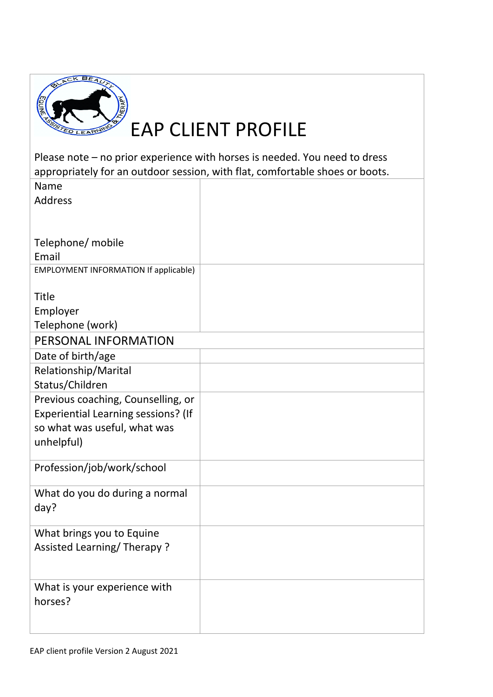

## EAP CLIENT PROFILE

Please note – no prior experience with horses is needed. You need to dress appropriately for an outdoor session, with flat, comfortable shoes or boots.

| Name                                  |  |
|---------------------------------------|--|
| Address                               |  |
|                                       |  |
|                                       |  |
| Telephone/ mobile                     |  |
| Email                                 |  |
| EMPLOYMENT INFORMATION If applicable) |  |
|                                       |  |
| <b>Title</b>                          |  |
| Employer                              |  |
| Telephone (work)                      |  |
| PERSONAL INFORMATION                  |  |
| Date of birth/age                     |  |
| Relationship/Marital                  |  |
| Status/Children                       |  |
| Previous coaching, Counselling, or    |  |
| Experiential Learning sessions? (If   |  |
| so what was useful, what was          |  |
| unhelpful)                            |  |
|                                       |  |
| Profession/job/work/school            |  |
|                                       |  |
| What do you do during a normal        |  |
| day?                                  |  |
| What brings you to Equine             |  |
| Assisted Learning/ Therapy?           |  |
|                                       |  |
|                                       |  |
| What is your experience with          |  |
| horses?                               |  |
|                                       |  |
|                                       |  |